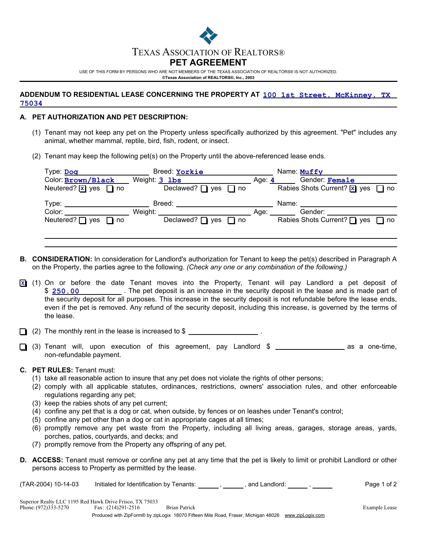

USE OF THIS FORM BY PERSONS WHO ARE NOT MEMBERS OF THE TEXAS ASSOCIATION OF REALTORS® IS NOT AUTHORIZED. **©Texas Association of REALTORS®, Inc., 2003**

## **ADDENDUM TO RESIDENTIAL LEASE CONCERNING THE PROPERTY AT 100 1st Street, McKinney, TX 75034**

## **PET AUTHORIZATION AND PET DESCRIPTION: A.**

- (1) Tenant may not keep any pet on the Property unless specifically authorized by this agreement. "Pet" includes any animal, whether mammal, reptile, bird, fish, rodent, or insect.
- (2) Tenant may keep the following pet(s) on the Property until the above-referenced lease ends.

| Type: Dog<br>Color: Brown/Black        | Breed: Yorkie<br>Weight: 3 1bs | Age: $4$ | Name: Muffy<br>Gender: Female                                           |
|----------------------------------------|--------------------------------|----------|-------------------------------------------------------------------------|
| Neutered? $\overline{x}$ yes $\Box$ no | Declawed? $\Box$ yes $\Box$ no |          | Rabies Shots Current? $\boxed{\mathbf{x}}$ yes $\boxed{\phantom{0}}$ no |
| Type:                                  | Breed:                         |          | Name:                                                                   |
| Color:                                 | Weight:                        | Age:     | Gender:                                                                 |
| Neutered? $\Box$ yes $\Box$ no         | Declawed? $\Box$ yes $\Box$ no |          | Rabies Shots Current? $\Box$ yes $\Box$ no                              |
|                                        |                                |          |                                                                         |

- **B. CONSIDERATION:** In consideration for Landlord's authorization for Tenant to keep the pet(s) described in Paragraph A on the Property, the parties agree to the following. *(Check any one or any combination of the following.)*
- (1) On or before the date Tenant moves into the Property, Tenant will pay Landlord a pet deposit of **X** \$ 250.00 **120 CM** The pet deposit is an increase in the security deposit in the lease and is made part of the security deposit for all purposes. This increase in the security deposit is not refundable before the lease ends, even if the pet is removed. Any refund of the security deposit, including this increase, is governed by the terms of the lease.

 $\Box$  (2) The monthly rent in the lease is increased to \$

 $\Box$  (3) Tenant will, upon execution of this agreement, pay Landlord \$ \_\_\_\_\_\_\_\_\_\_\_\_\_\_\_\_\_\_\_\_\_ as a one-time, non-refundable payment.

## **C. PET RULES:** Tenant must:

- (1) take all reasonable action to insure that any pet does not violate the rights of other persons;
- (2) comply with all applicable statutes, ordinances, restrictions, owners' association rules, and other enforceable regulations regarding any pet;
- (3) keep the rabies shots of any pet current;
- (4) confine any pet that is a dog or cat, when outside, by fences or on leashes under Tenant's control;
- (5) confine any pet other than a dog or cat in appropriate cages at all times;
- (6) promptly remove any pet waste from the Property, including all living areas, garages, storage areas, yards, porches, patios, courtyards, and decks; and
- (7) promptly remove from the Property any offspring of any pet.
- **D. ACCESS:** Tenant must remove or confine any pet at any time that the pet is likely to limit or prohibit Landlord or other persons access to Property as permitted by the lease.

(TAR-2004) 10-14-03 Initialed for Identification by Tenants: \_\_\_\_\_\_ , \_\_\_\_\_\_, and Landlord: \_\_\_\_\_\_ , \_\_\_\_\_\_\_ Page 1 of 2